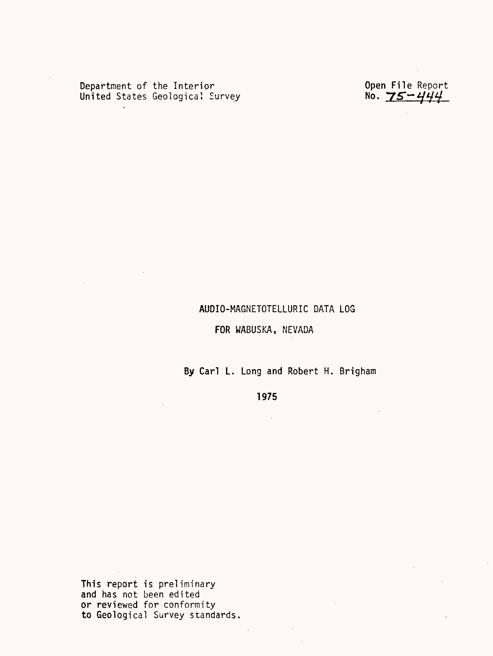Department of the Interior Open File Report United States Geological Survey  $\blacksquare$  No.  $\mathcal{I} \mathcal{S} \mathcal{\mathop{}}^{\mathcal{S}}$ 

 $\sim$ 

#### AUDIO-MAGNETOTELLURIC DATA LOG

### FOR WABUSKA, NEVADA

By Carl L. Long and Robert H. Brigham

1975

 $\sim 10^{-1}$ 

 $\mathbb{Z}$ 

This report is preliminary and has not been edited or reviewed for conformity to Geological Survey standards.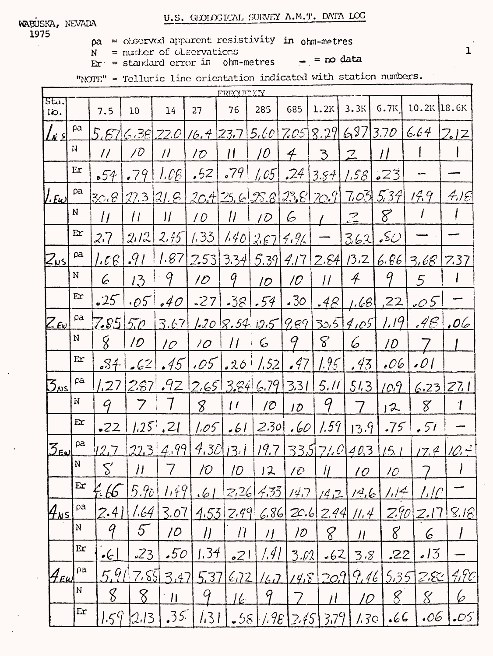$\sim$ 

 $pa = observed$  apparent resistivity in ohm-metres

 $N =$  number of observations

 $E x = standard error in ohm-metres = no data$ 

"NOTE" - Telluric line orientation indicated with station numbers.

|                                          | Y'Y THUNDAY  |                             |                    |                         |                       |               |                    |                            |                                                                                                                                                                                                                                                                                                                                                                                                                                                                   |                                 |                           |                  |           |
|------------------------------------------|--------------|-----------------------------|--------------------|-------------------------|-----------------------|---------------|--------------------|----------------------------|-------------------------------------------------------------------------------------------------------------------------------------------------------------------------------------------------------------------------------------------------------------------------------------------------------------------------------------------------------------------------------------------------------------------------------------------------------------------|---------------------------------|---------------------------|------------------|-----------|
| sta.<br>lio.                             |              | 7.5                         | 10                 | 14                      | 27                    | 76            | 285                | 685                        | 1.2K                                                                                                                                                                                                                                                                                                                                                                                                                                                              | 3.3K                            | 6.7K                      | $10.2K$ 18.6K    |           |
| $\sqrt{3}$ اءِ $\sqrt{3}$                | pa           | 5,87                        | $\zeta$ ,381,      | 22.O                    | $16.4$ 23.7           |               |                    |                            | $5.60$ 7.05 8.29                                                                                                                                                                                                                                                                                                                                                                                                                                                  | 6973.70                         |                           | 6,64             | 2.12      |
|                                          | $\mathbf{H}$ | $\frac{1}{2}$               | 10                 | $\overline{\mu}$        | $1\mathcal{D}$        | 11            | 10                 | $\boldsymbol{\mathcal{A}}$ | $\mathcal{E}$                                                                                                                                                                                                                                                                                                                                                                                                                                                     | $\mathcal{Z}$                   | $\prime$                  |                  |           |
|                                          | Er           | 54                          | .79                | I.OE                    | .52                   | .79           | 1.05               | 24                         | 3.54                                                                                                                                                                                                                                                                                                                                                                                                                                                              | $ 58 $                          | 23                        |                  |           |
| $ I.E\omega $                            | pa           | 30.8                        |                    | [27.3]                  | 20.425.6.28.8.28.20.9 |               |                    |                            |                                                                                                                                                                                                                                                                                                                                                                                                                                                                   |                                 | 7.035537                  | 14.9             | 415       |
|                                          | N            | $\overline{11}$             | $\mu$              | $\frac{1}{2}$           | $\sqrt{O}$            | $\mu$         | 1D                 | 6                          |                                                                                                                                                                                                                                                                                                                                                                                                                                                                   | $\mathcal{Z}$                   | 8                         |                  |           |
|                                          | Er           | 2.7                         | 2/2                | 2.75                    | 1.33                  | 1.40          | 267596             |                            |                                                                                                                                                                                                                                                                                                                                                                                                                                                                   | 3.62                            | $\mathcal{S} \mathcal{O}$ |                  |           |
| $Z_{\nu}$ sl                             | pa           | $^{\prime}$ . $^{\prime}$ E | .91                | 1.87                    |                       |               |                    |                            |                                                                                                                                                                                                                                                                                                                                                                                                                                                                   | $2.53$ 3.34 5.39 4.17 2.84 13.2 |                           | 6.867.68         | 7.37      |
|                                          | N            | 6                           | 13                 | 9                       | 10                    | 9             | 10 <sup>°</sup>    | $\overline{\mathcal{O}}$   | $\mu$                                                                                                                                                                                                                                                                                                                                                                                                                                                             | $\mathcal{A}$                   | q                         | 5                |           |
|                                          | Er           | .25                         | .05                | 640                     | .27                   |               | $-38$ .54          | .30 <sub>1</sub>           | .48 <sup>1</sup>                                                                                                                                                                                                                                                                                                                                                                                                                                                  | 1.68                            | ,22                       | 0.05             |           |
| $Z$ Ev                                   | $\rho$ a     | 7.85                        | $5\overline{\rho}$ | 3.67                    |                       |               | 1.208.5405989      |                            |                                                                                                                                                                                                                                                                                                                                                                                                                                                                   | 30.59105                        | 1.19                      | .48 <sub>1</sub> | 06.       |
|                                          | N            | 8                           | 10                 | 10                      | 10 <sup>1</sup>       | $\mu$         | 6                  | 9                          | $\mathcal{S}% _{M_{1},M_{2}}^{\alpha,\beta}(\mathcal{M}_{M_{1},M_{2}}^{\alpha,\beta}(\mathcal{M}_{M_{1},M_{2}}^{\alpha,\beta}(\mathcal{M}_{M_{1},M_{2}}^{\alpha,\beta}(\mathcal{M}_{M_{1},M_{2}}^{\alpha,\beta}(\mathcal{M}_{M_{1},M_{2}}^{\alpha,\beta}(\mathcal{M}_{M_{1},M_{2}}^{\alpha,\beta}(\mathcal{M}_{M_{1},M_{2}}^{\alpha,\beta}(\mathcal{M}_{M_{1},M_{2}}^{\alpha,\beta}(\mathcal{M}_{M_{1},M_{2}}^{\alpha,\beta}(\mathcal{M}_{M_{1},M_{2}}^{\alpha,\$ | 6                               | İD                        |                  |           |
|                                          | Er           | .84                         | 562                | .45                     | .05                   |               | $.26$ $1.52$       | .47                        | 1.95                                                                                                                                                                                                                                                                                                                                                                                                                                                              | ,43                             | .06                       | $\Omega$         |           |
| $\mathcal{S}_{\textsf{NS}}$              | fā           | 1,27                        | 2,67               | .92                     |                       |               | $2.65$ $3.84$ 6.79 | 3.31                       | 5, 11                                                                                                                                                                                                                                                                                                                                                                                                                                                             | 51.3                            | 10.9                      |                  | 6.23 Z7.1 |
|                                          | N            | G                           |                    |                         | 8                     | $\frac{1}{2}$ | $/ \mathcal{O}$    | 10                         | 9                                                                                                                                                                                                                                                                                                                                                                                                                                                                 |                                 | $\boldsymbol{z}$          | 8                |           |
|                                          | Er           | $-22$                       |                    | $1.25$ , 21             | 1.05                  | .61           | 2.30               | .60                        | 1.59                                                                                                                                                                                                                                                                                                                                                                                                                                                              | 13.9                            | .75                       | .5i              |           |
| $\mathcal{Z}_{\bm{\epsilon}\bm{\omega}}$ | $\beta$ a    | 12.7                        |                    | 223   4.99              |                       | 4.3013.1      | 19.7               |                            |                                                                                                                                                                                                                                                                                                                                                                                                                                                                   | 335 71.0 403                    | 15.1                      | L2.4             |           |
|                                          | $\mathbf N$  | $\mathcal{S}'$              | $\mathcal{H}$      |                         | 10                    | 10            | 12                 | 1 D                        | $\dot{H}$                                                                                                                                                                                                                                                                                                                                                                                                                                                         | 10                              | 10                        |                  |           |
|                                          | $\mathbf{E}$ | 5.65                        | 5.90               | 1.49                    | .61                   | 2.26          | 4,33               | 14.7                       | 1412                                                                                                                                                                                                                                                                                                                                                                                                                                                              | 14.6                            | /                         | ין גי            |           |
| $4$ NS                                   | ρа           | 2.41                        | 1.64               | 3.07                    |                       | 4.5312.49     |                    |                            |                                                                                                                                                                                                                                                                                                                                                                                                                                                                   | $6.86$ $20.6$ $2.44$ $11.4$     | 2.90                      | Z.17             | 8.18      |
|                                          | ${\bf N}$    | 9                           | 5                  | 10                      | $\eta$                | $\eta$        | $\prime$           | 10                         | 8                                                                                                                                                                                                                                                                                                                                                                                                                                                                 | $\mu$                           | 8                         | 6                |           |
|                                          | Er           | $\cdot$ C                   | 23                 | .50                     | 1.34                  | .21           | [.4]               | 3.02                       | .62                                                                                                                                                                                                                                                                                                                                                                                                                                                               | 3.8                             | ,22                       | 3                |           |
| $\mathcal{H}_{\mathit{Eul}}$             | $\rho$ a     | 5.91                        | 7.55               | 3.47                    | 5.37                  | 6/2           | $\sqrt{4J}$        | 14.8                       | 20.1                                                                                                                                                                                                                                                                                                                                                                                                                                                              | 9.46                            | 5.35                      | 282              | 7.9c      |
|                                          | N            | 8                           | 8                  | $\overline{\mathbf{H}}$ | 9                     | I k           | 9                  |                            |                                                                                                                                                                                                                                                                                                                                                                                                                                                                   | 10                              | $\mathcal{S}$             | $\mathcal{S}$    | b         |
|                                          | Er           | 1.59                        | 2.13               | 35 <sup>2</sup>         | 1.31                  |               | $-58)/98$          | 2.75                       | 3.79                                                                                                                                                                                                                                                                                                                                                                                                                                                              | 1.30                            | کا کا                     | .06              | .05       |
|                                          |              |                             |                    |                         |                       |               |                    |                            |                                                                                                                                                                                                                                                                                                                                                                                                                                                                   |                                 |                           |                  |           |

 $\mathbf{1}$ 

 $\sim$   $\sim$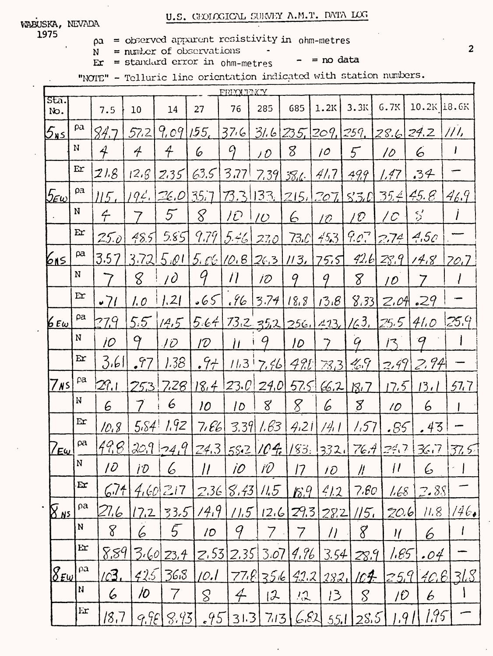## U.S. GEOLOGICAL SURVEY A.M.T. DATA LOG

 $\blacksquare$ 

WABUSKA, NEVADA 1975

 $\rho a =$  observed apparent resistivity in ohm-metres

 $N = number of observations$ 

 $\mathbf{E} \mathbf{r} = \text{standard error in } \text{ohm-meters}$  $- =$  no data

"NOTE" - Telluric line orientation indicated with station numbers.

|                         | FRIOLTNCY             |                     |                     |                          |                       |                           |                               |             |                     |                                  |                          |                                         |              |
|-------------------------|-----------------------|---------------------|---------------------|--------------------------|-----------------------|---------------------------|-------------------------------|-------------|---------------------|----------------------------------|--------------------------|-----------------------------------------|--------------|
| Sta.<br>No.             |                       | 7.5                 | 10                  | 14                       | 27                    | 76                        | 285                           | 685         | 1.2K                | 3.3K                             | 6.7K                     | 10.2K 18.6K                             |              |
| $5_{15}$                | pa                    | 84.7                | 57,2                | 9,09                     | 155 <sub>1</sub>      | 37.6                      | $31.6$ $235$ , $209$ , $259$  |             |                     |                                  | 28.6                     | 24.Z                                    | / /          |
|                         | N                     | $\hat{\mathcal{A}}$ | 4                   | $\overline{\mathcal{A}}$ | 6                     | $\varphi$                 | 10                            | 8           | 10                  | $5^{\circ}$                      | 10                       | 6                                       | I            |
|                         | Er                    | 21.8                | 12.6                | 2.35                     | 63.5                  | 3,77                      | 7.39                          | 38.L        | 41.7                | 49.9                             | 1.47                     | .34                                     |              |
| $5\varepsilon$ w $\,$   | ρa                    | 115.                |                     | 194.126.01               | 35.7                  | 73.3                      |                               |             |                     | <u> 133, 1215, 1207   530 </u>   |                          | $35.4$ 45.8                             | 46.9         |
|                         | N                     | $\acute{\tau}$      | 7                   | 5                        | 8                     | $\overline{1}\mathcal{O}$ | $\overline{\mathcal{O}}$      | 6           | 10                  | 1 O                              | $\mathcal{C}$            | $\mathcal{S}'$                          |              |
|                         | Er                    | 25.0                | 48.5                | 5.85                     | 9.79                  | [5.46]                    | 270                           | 73C         | 453                 | 9.07                             | 274                      | 4.5c                                    |              |
| <u> 615 </u>            | $\beta$ a             | 3.57                | 3.721               |                          | 5.0115.0610.826.3113. |                           |                               |             | 75.5                | 42.6                             | 23.9                     | 14.8                                    | 70.7         |
|                         | N                     |                     | 8                   | $\overline{10}$          | 9                     | $\prime$                  | 10 <sup>o</sup>               | 9           | 9                   | 8                                | $\overline{\mathcal{D}}$ | 7                                       |              |
|                         | Er                    | .71                 | 1. O                | 1.21                     | .65                   | .96                       | 3.74                          | 18.8        | 13.8                |                                  | $8.33$ $2.04.29$         |                                         |              |
| 6 E $\omega$            | pa                    | 27.9                | $5.5^\circ$         | 14.5                     |                       |                           |                               |             |                     | $5.64$ 73.2 35.2 256. 4.13. 163. | [25.5]                   | 41.0                                    | 25.9         |
|                         | N                     | İO                  | 9                   | TD.                      | $\mathcal{D}$         | $\boldsymbol{\mu}$        | 9                             | 10          | 7                   | $\mathcal{G}$                    | 13                       | 9                                       |              |
|                         | Er                    | 3.61                | $\sqrt{7}$          | 1.38                     | .94                   |                           | $11.3$ 7.46                   | 491         | 73,3                | $4.9 - 7$                        | 7.99                     | 2,94                                    |              |
| $7$ Ns $\vert$          | pa                    | 27.1                | 253'                | 7.28                     |                       |                           | $18.4$ 23.0 24.0 57.5 $(6.2)$ |             |                     | R <sub>1</sub>                   | 12.5                     | 13.1                                    | 57.7         |
|                         | N                     | 6                   | 7                   | 6                        | 10                    | 10                        | 8                             | 8           | 6                   | 8                                | 10 <sub>2</sub>          | 6                                       |              |
|                         | Er                    | 10.8                | 5.84                | 1.92                     | 7.66                  |                           | 3.391.63                      | 4.21        | 14.1                | 1.57                             | .85                      | .43                                     |              |
| <u>/εω</u>              | ρa                    | 49,8                |                     | $209 - 49$               |                       |                           |                               |             |                     |                                  |                          | 24.3 58.2 104. 183. 332. 76.4 24.7 36.7 | 37.5         |
|                         | ${\bf N}$             | $\overline{\iota}$  | $10^{-7}$           | $ 6 $ 11   10   10       |                       |                           |                               |             | 17  10              | $\mathscr{U}$                    |                          | 116                                     | $\mathbf{I}$ |
|                         | $\mathbf{E}$          | 6.74                |                     | $4.60$ 2.17              |                       | $2.36$ $8.43$             | 11.5                          | 18.9        | 41.2                | 7.60                             | 1,68                     | [2.88]                                  |              |
| <u> 8 Ns l</u>          | $\boldsymbol{\rho}$ a | 27.6                | 17.2                | 33.5                     | 14.9                  | 11.5                      | 12.6                          | 29.3        | 28.2                | <u>  5,</u>                      | 20.6                     | 7.8                                     | 146.         |
|                         | ${\bf N}$             | 8                   | 6                   | 5 <sup>1</sup>           | 10                    | 9                         | 7                             | 7           | $\overline{\prime}$ | 8                                | $\eta$                   | 6                                       |              |
|                         | Ex                    | 8.89                |                     | <u>3:60 23,4</u>         | 2.53                  | [2.35]                    | 3.07                          | <u>4,96</u> | 3.54                | 28.9                             | 1.85                     | .04                                     |              |
| $\mathcal{S}_{E\omega}$ | $\boldsymbol{\rho}$ a | Ic3.                | 425                 | 36,8                     | 10.1                  |                           | $77.8756$ $42.2$              |             | 282.                | 104                              | 25.9                     |                                         | 40.6131.8    |
|                         | $\mathbf{N}$          | 6                   | $\overline{\prime}$ |                          | S                     | $\oint$                   | 12                            | ハ           | 13                  | $\mathcal{S}_{\mathcal{C}}$      | $/ \hat{U}$              | 6                                       |              |
|                         | Er                    | 18,7                | 9.95                | 3.93                     |                       | $.95$ 31.3                | 7/3                           | 6.62        | 55.1                | 28.5                             | $1.9$ .                  | 195                                     |              |

 $\overline{2}$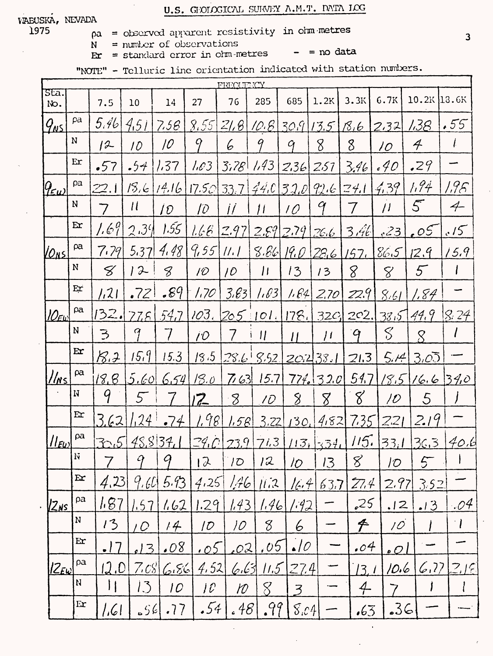# U.S. GIOLOGICAL SURVEY A.M.T. DATA LCG

#### VABUSKA, NEVADA 1975

- $pa = observed$  apparent resistivity in ohmetres
- $N =$  number of observations

 $-$  = no data  $\mathbf{E} \mathbf{r} = \text{standard error in } \text{om-metres}$ 

"NOTE" - Telluric line orientation indicated with station numbers.

| FREOLITYCY                                |              |               |                     |                 |                                  |                 |                            |                          |                   |                 |                          |                             |                             |
|-------------------------------------------|--------------|---------------|---------------------|-----------------|----------------------------------|-----------------|----------------------------|--------------------------|-------------------|-----------------|--------------------------|-----------------------------|-----------------------------|
| sta.<br>No.                               |              | 7.5           | 10                  | 14              | 27                               | 76              | 285                        | 685                      | 1.2K              | 3.3K            | 6.7K                     | $10.2K$ 13.6K               |                             |
| $\mathit{q}_{\texttt{{\tiny \text{MS}}}}$ | pa           | 5,46          | 4,51                | 7,58            | 8.55                             | 2/6             | 10.8                       |                          | 309/13.5          | <u> 18,6</u>    | 2.32                     | <u> 138 </u>                | .55                         |
|                                           | N            | 12            | 10                  | 10              | 9                                | 6               | 9                          | $\mathcal{G}$            | 8                 | 8               | 10 <sup>°</sup>          | $\boldsymbol{\mathcal{A}}$  | ŀ                           |
|                                           | Er           | .57           | .54                 | 1.37            | 1.63                             | 3.78            | 1.43                       | 2.36                     | 257               | 3.46            | .40                      | 29                          |                             |
| $9 \epsilon \omega$                       | pa           | 22. I         | 15.6                | 14.16           | $17.50$ 33.7 44.0 32.0 92.6 24.1 |                 |                            |                          |                   |                 | 4.39                     | 1.94                        | 1.95                        |
|                                           | N            | 7             | $\mu$               | ÍD              | TD.                              | $\int$          | $\mu$                      | 10 <sup>°</sup>          | 9                 | 7               | $\mu$                    | 5                           | $\overline{\mathcal{A}}$    |
|                                           | Er           | 1.69          | 2.34                | 1.55            | 1.66                             | 2.97            |                            | 2.89   2.79              | 26.6              | 3.46            | .23                      | $\mathcal{E}^{\mathcal{S}}$ | .15                         |
| <u>VONS</u>                               | ρa           | 7.79          | 5.37                | 4.48            | 9,55                             | $\frac{1}{i}$   | 8.86                       | 19. O                    | 28,6              | 157.            | 86.5                     | 12.9                        | (5.9)                       |
|                                           | N            | 8             | 12                  | 8               | 10                               | 10 <sup>°</sup> | $\mu$                      | 13                       | 13                | 8               | 8                        | 5                           |                             |
|                                           | Er           | 1,21          | .72                 | .89             | 1.70                             | 3.83            | 1.63                       | 1.64                     | 2,70              | 22.9            | 8.61                     | 1,84                        |                             |
| $10$ EW                                   | pa           |               | 132.775             | $-54.7$         | 103.                             |                 |                            |                          | [205:101.178.320] | 202.            | 38.5                     | 44.9                        | 8.24                        |
|                                           | N            | $\Rightarrow$ | 9                   |                 | $\hat{U}$                        |                 | $\boldsymbol{\mathcal{U}}$ | $\prime\prime$           | $\mu$             | $\mathcal{G}$   | S                        | $\mathcal{S}_{\mathcal{S}}$ |                             |
|                                           | Er           | 8.3           | 15.9                | 15.3            | 18.5                             |                 | $28.6$ $5.52$              |                          | 20.233.1          | 21.3            | 5.14                     | 3.05                        |                             |
| $ l_{N5} $                                | ρa           | 18.8          | 5.60                | 6.54            | 18.0                             |                 | $763$ 15.7                 |                          | 774. 32.0 54.7    |                 |                          | 18.51665340                 |                             |
|                                           | N            | 9             | $5-$                |                 | 12                               | 8               | 10 <sup>°</sup>            | 8                        | 8                 | 8               | $\overline{\mathcal{D}}$ | 5                           |                             |
|                                           | E x          | 3.62          | 1.24                | $-74$           | 1.98                             | 1.58            | 3.22                       |                          | 130, 452          | 7.35            | 221                      | 2.19                        |                             |
| $  _{\ell\omega}$                         | ρa           |               | 30.5 48.8 34.1      |                 | 29.023.9                         |                 |                            |                          | 713 113 334       | 115.            | 33.1                     | 36.3                        | 40,6                        |
|                                           | Ń            | 7             | $\boldsymbol{q}$    | q               | $\sqrt{2}$                       | 10              | l2                         | $\overline{\prime}$      | 13                | 8               | $\partial\mathcal{D}$    | 5                           |                             |
|                                           | $\mathbf{E}$ | 4,23          | 9.60                | 5.93            | 4.25                             | A6              | 11.2                       | 16.4                     | 63.7              | 27.4            | 2.97                     | 3.52                        |                             |
| <u>IZns</u>                               | ρa           | 1.87          | 1.57                | <u>1.62</u>     | 1.29                             | 1.43            | 1.46                       | 1.42                     |                   | 25              | .12                      | .13                         | .04                         |
|                                           | ${\bf N}$    | 13            | $\overline{\prime}$ | 14              | $\overline{1}$                   | 10              | 8                          | 6                        |                   | $\cancel{\tau}$ | 10 <sup>°</sup>          |                             | $\mathcal{A}^{\mathcal{A}}$ |
|                                           | Er           | <u>.17</u>    | l3                  | .08             | <u>.05</u>                       | .02             | .05 <sup>°</sup>           | $\cdot$ 10               |                   | .04             | $\overline{2}$           |                             |                             |
| $ Z_{E\omega} $                           | ρa           | 12.0          |                     | 7.0866          | 4.52                             | <u>لۇغا، يى</u> |                            | $11.5$ $27.4$            |                   | 13.1            | 10.6                     |                             | 6.77219                     |
|                                           | $\mathbf{N}$ | $\vert \vert$ | 13                  | 10 <sup>°</sup> | $\int \mathcal{C}$               | ${\cal W}$      | $8^{\circ}$                | $\overline{\mathcal{Z}}$ |                   | $\overline{4}$  | 7                        | $\mathbf{\iota}$            |                             |
|                                           | $E_{\rm I}$  | 1.61          |                     | 56.77           | .54                              | .48             | .99                        | S.c4                     |                   | .65             | 36                       |                             |                             |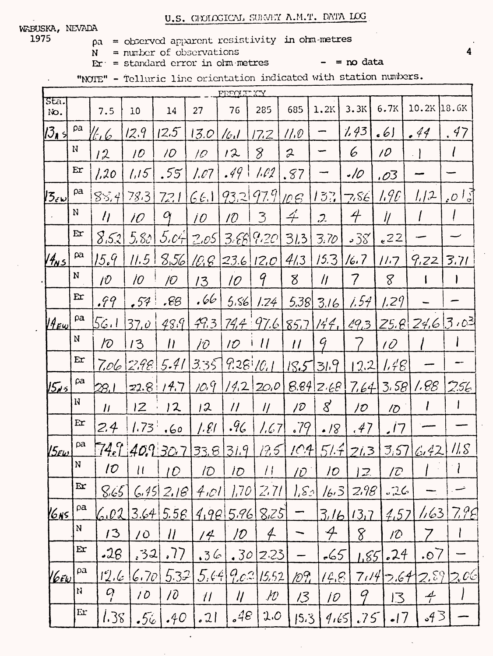U.S. GENELOGICAL SURVEY A.M.T. DATA LOG

1975

- $pa = observed$  apparent resistivity in ohm-metres
- $N =$  number of observations  $E\mathbf{r}$  = standard error in ohm metres

 $=$   $=$   $\infty$  data

"NOIE" - Telluric line orientation indicated with station numbers.

| FEFOLIT KY<br>sta.      |                 |                              |                                                          |                                                                     |                                       |                                                                |                                                     |                                                                                                                                            |                                                                                  |                                                                         |                                                                          |                                                                                                            |
|-------------------------|-----------------|------------------------------|----------------------------------------------------------|---------------------------------------------------------------------|---------------------------------------|----------------------------------------------------------------|-----------------------------------------------------|--------------------------------------------------------------------------------------------------------------------------------------------|----------------------------------------------------------------------------------|-------------------------------------------------------------------------|--------------------------------------------------------------------------|------------------------------------------------------------------------------------------------------------|
|                         | 7.5             | 10                           | 14                                                       | 27                                                                  | 76                                    | 285                                                            | 685                                                 | 1.2K                                                                                                                                       | 3.3K                                                                             | 6.7K                                                                    | $10.2K$ 18.6K                                                            |                                                                                                            |
| pa                      |                 | 12.9                         | 12.5                                                     | 13.0                                                                |                                       |                                                                | 11.0                                                |                                                                                                                                            | 1.43                                                                             | .61                                                                     | .44                                                                      | .47                                                                                                        |
| N                       | 12              | 10 <sup>°</sup>              | 10 <sup>°</sup>                                          | $\overline{10}$                                                     | 12                                    | $\mathcal{S}_{0}$                                              | $\mathcal{Z}$                                       |                                                                                                                                            | 6                                                                                | 10                                                                      |                                                                          |                                                                                                            |
| Er                      | 1,20            | 1.15                         | .55                                                      | 1.07                                                                |                                       | 1.P2                                                           |                                                     |                                                                                                                                            | .10                                                                              | .03                                                                     |                                                                          |                                                                                                            |
| ρa                      |                 | 78.3                         | 72.1                                                     |                                                                     |                                       |                                                                |                                                     | $5\%$                                                                                                                                      | 7, SE                                                                            | 1.90                                                                    | 1/2                                                                      | $\cdot$ 0                                                                                                  |
| N                       | $\eta$          | $\overline{\prime}$          | $\alpha$                                                 | $\overline{10}$                                                     | 10 <sup>°</sup>                       | 3                                                              | $\hat{+}$                                           | $\mathcal{L}$                                                                                                                              | $\overline{\tau}$                                                                | 11                                                                      |                                                                          |                                                                                                            |
| Er                      |                 | 5.80                         |                                                          |                                                                     |                                       |                                                                | 31.3                                                | 3.70                                                                                                                                       | $38^\circ$                                                                       | $e^{22}$                                                                |                                                                          |                                                                                                            |
| pa                      | 15.9            | 11.5                         |                                                          |                                                                     |                                       |                                                                | 4/3                                                 | 15.3                                                                                                                                       | 16.7                                                                             | 11.7                                                                    | 9.22                                                                     | 3.71                                                                                                       |
| N                       | 10 <sup>°</sup> | 10                           | jO                                                       | 13                                                                  | 10                                    | 9                                                              | 8                                                   | $\eta$                                                                                                                                     | 7                                                                                | 8                                                                       |                                                                          |                                                                                                            |
| $Er$                    | .99             | .57                          | .66                                                      | .66                                                                 |                                       | 1.24                                                           |                                                     | 3.16                                                                                                                                       |                                                                                  | 1.29                                                                    |                                                                          |                                                                                                            |
| $\boldsymbol{\rho}$ a   | 56. 1           | 37,0                         | 48.9                                                     | 79.3                                                                |                                       |                                                                |                                                     |                                                                                                                                            |                                                                                  |                                                                         |                                                                          |                                                                                                            |
| N                       | $\sqrt{O}$      | 13                           | $\prime$                                                 | İO                                                                  | 10 <sup>°</sup>                       | $\frac{1}{2}$                                                  | $\prime$                                            | G                                                                                                                                          |                                                                                  | $\overline{10}$                                                         |                                                                          |                                                                                                            |
| Er                      |                 |                              | 5.41                                                     | 335                                                                 |                                       |                                                                |                                                     |                                                                                                                                            |                                                                                  |                                                                         |                                                                          |                                                                                                            |
| $\beta$ a               | <u>28.I</u>     |                              | 14.7                                                     | 10.9                                                                |                                       |                                                                |                                                     |                                                                                                                                            |                                                                                  |                                                                         | 1.88                                                                     | 256                                                                                                        |
| N                       | $\mu$           | 2                            | 12                                                       | 12                                                                  | $\overline{\prime}$                   | $\eta$                                                         | 10                                                  | $8^{\circ}$                                                                                                                                | 10                                                                               | $\sqrt{O}$                                                              |                                                                          |                                                                                                            |
| Er                      | 2.4             |                              |                                                          | 1.81                                                                | .96                                   |                                                                |                                                     |                                                                                                                                            |                                                                                  |                                                                         |                                                                          |                                                                                                            |
| pa                      |                 |                              |                                                          |                                                                     |                                       |                                                                |                                                     |                                                                                                                                            |                                                                                  |                                                                         | 6.42                                                                     | 11,8                                                                                                       |
| $\mathbf N$             | 10 <sup>°</sup> | $\mu$                        | IO                                                       | ID                                                                  | 1 <sub>O</sub>                        | $\frac{1}{2}$                                                  | 10                                                  | 10                                                                                                                                         | $\mathcal{Z}$                                                                    | ID                                                                      |                                                                          | ŧ                                                                                                          |
| $\mathbf{E}$            |                 |                              |                                                          |                                                                     |                                       |                                                                |                                                     |                                                                                                                                            |                                                                                  |                                                                         |                                                                          |                                                                                                            |
| ρa<br><u> 16ns l</u>    |                 |                              |                                                          |                                                                     |                                       |                                                                |                                                     |                                                                                                                                            |                                                                                  |                                                                         | 1/63                                                                     | 7.95                                                                                                       |
| N                       | 13              | $\overline{10}$              | $\eta$                                                   | /4                                                                  | 10                                    | $\overline{\mathcal{L}}$                                       |                                                     | $\overline{\mathcal{A}}$                                                                                                                   | 8                                                                                | 10                                                                      |                                                                          |                                                                                                            |
| E x                     |                 |                              | .77                                                      |                                                                     |                                       |                                                                |                                                     |                                                                                                                                            |                                                                                  |                                                                         | .07                                                                      |                                                                                                            |
| ρa<br>$\ell$ é $\omega$ |                 |                              |                                                          |                                                                     |                                       |                                                                |                                                     |                                                                                                                                            |                                                                                  |                                                                         |                                                                          | 2.59206                                                                                                    |
| N                       | $Q_{i}$         | 10                           | 10                                                       | $\mathcal{U}$                                                       | $\eta \,$                             | $\mathcal{H}$                                                  | 13                                                  |                                                                                                                                            | 9                                                                                |                                                                         | $\frac{d}{l}$                                                            |                                                                                                            |
| Er                      |                 |                              | .40 <sub>1</sub>                                         | 2                                                                   |                                       |                                                                |                                                     |                                                                                                                                            |                                                                                  |                                                                         | .43                                                                      |                                                                                                            |
|                         |                 | طا نا<br>$8\overline{5}$ ; 4 | 8.52<br>7.06<br>8:5<br>6.02<br>$-26$<br>ئىگە (ئا<br>1.38 | 298<br>22.8<br>$1.73$ ,60<br>74. 140. 130. 7<br>,32 <br>6.70<br>.56 | 66.1<br>5.072.05<br>8,56/10,8<br>5.32 | $ c_i $<br>.49<br>33.8 31.9<br>6.45 2.18 4.01 <br>.36<br> 5,64 | 17.2<br>3.689.20<br>5.56<br>9.28101<br> .70 <br>.48 | .87<br>93.297.9006<br>[23.6] [2.0]<br>$14.2$ 20.0<br> 167 <br>125<br>2.71<br>$3.64$ 5.56 4.98 5.96 8.25<br>.30 2.23 <br>9.02 15.52 <br>2.0 | 5.38<br>$74.4$ $97.6$ $85.7$<br>15.53.9<br>.79<br>104<br>$ S_2 $<br>109,<br>15.3 | 8.84 2.68 <br>.47<br>$\cdot$ /8<br> 6.3 <br>-65  <br>14.8<br>10<br>9.65 | 1.54<br>147   493<br>2.2<br>51.721.3<br>2.98<br>3/6/3.7<br>L 85  <br>.75 | $25.8$ $24.6$ $3.03$<br>1,48<br>$7.64$ 3.58<br>.17<br>[3,57]<br>.76<br>4.57<br>.24<br>7.149.64<br>13<br> 7 |

Δ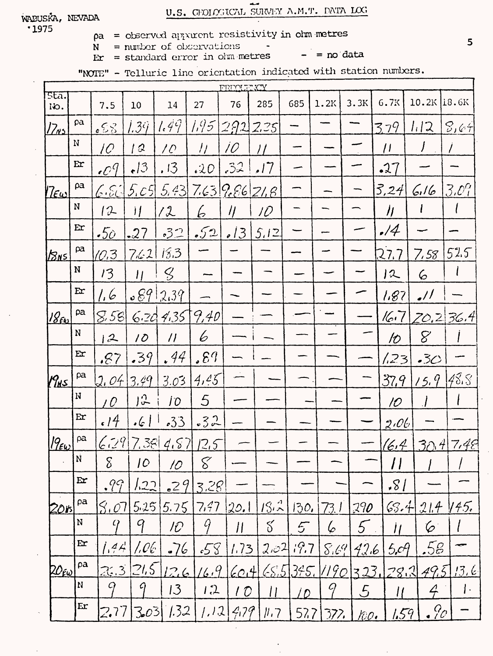# U.S. GROLOGICAL SURVEY A.M.T. DATA LOG

 $\ddot{\phantom{1}}$ 

 $.1975$ 

- $pa = observed$  apparent resistivity in ohmometres
- $N =$  number of observations
- $= no data$  $Er = standard error in ohm metres$
- "NOTE" Telluric line orientation indicated with station numbers.

| FEEQUERCY                  |              |                          |                            |                                    |                 |                 |                |      |                   |               |                |                       |                     |
|----------------------------|--------------|--------------------------|----------------------------|------------------------------------|-----------------|-----------------|----------------|------|-------------------|---------------|----------------|-----------------------|---------------------|
| sta.<br>io.                |              | 7.5                      | 10                         | 14                                 | 27              | 76              | 285            | 685  | 1.2K              | 3.3K          | 6.7K           | $10.2K$ 18.6K         |                     |
| <u> 17ns</u>               | pa           | $\epsilon$ SS            | <u>i 39</u>                | 1.49                               | $1.95$ 292 2.25 |                 |                |      |                   |               | 379            | 1/2                   | 8,64                |
|                            | $\mathbf N$  | $\overline{\mathcal{C}}$ | 12                         | 10 <sup>°</sup>                    | $\frac{1}{2}$   | $\overline{10}$ | $\prime\prime$ |      |                   |               | $\overline{1}$ | $\int$                |                     |
|                            | Er           | $\cdot$ $\mathcal{O}^q$  | $\epsilon$ 13              | .13                                | .20             | .32             | 7              |      |                   |               | .27            |                       |                     |
| $ {\cal I}\epsilon\omega $ | ρa           | 6.51                     |                            | $5.05$ $5.43$ $7.63$ $9.66$ $21.6$ |                 |                 |                |      |                   |               | 3,24           | 6.16                  | $3.0\%$             |
|                            | N            | 12                       | $\frac{1}{2}$              | 12                                 | b               | $\eta$          | 10             |      |                   |               | $\eta$         |                       |                     |
|                            | Er           | $\boldsymbol{.5o}$       | $-27$                      | 52                                 | 52              | <u> 13</u>      | 5.12           |      |                   |               | $\cdot/4$      |                       |                     |
| $ z_{\text{ns}} $          | $\beta a$    | 10.3                     | 7.62118.3                  |                                    |                 |                 |                |      |                   |               | 27.7           | 7.58                  | 52.5                |
|                            | $\mathbf N$  | 13                       | $\boldsymbol{\mathcal{H}}$ | $\mathcal{G}$                      |                 |                 |                |      |                   |               | 12             | 6                     |                     |
|                            | Er           | 1.6                      |                            | 66912.39                           |                 |                 |                |      |                   |               | 1.87           | $\overline{\cdot}$ // |                     |
| $18_{Fb}$                  | pa           |                          |                            | 8.5862413579.40                    |                 |                 |                |      |                   |               |                | $16.7$ $20.2$ $36.4$  |                     |
|                            | N            | 12                       | 10                         | $\overline{\prime}$                | 6               |                 |                |      |                   |               | 10             | 8 <sup>o</sup>        |                     |
|                            | $E$ $r$      | .87                      | .39                        | .44                                | .89             |                 |                |      |                   |               | 23             | .3<                   |                     |
| (Pus)                      | ρa           | J, Of                    | 3.49                       | 3.03                               | 4,45            |                 |                |      |                   |               | 37.9           | 15.9                  | 48.5                |
|                            | $\mathbf N$  | 10                       | 13                         | 10 <sup>°</sup>                    | $\mathfrak{S}$  |                 |                |      |                   |               | 10             |                       |                     |
|                            | Er           | .14                      | $\cdot$ 6                  | .33                                | .32             |                 |                |      |                   |               | 2.06           |                       |                     |
| $ 9_{\epsilon\omega} $     | ρa           |                          |                            | 6.297.3844.8712.5                  |                 |                 |                |      |                   |               |                | $(6.4)$ 30.4 7.48     |                     |
|                            | N            | $\delta$                 | 10                         | 10                                 | 8               |                 |                |      |                   |               |                |                       |                     |
|                            | $\mathbf{E}$ | .99                      | 1.22                       | $-29$                              | 3.28            |                 |                |      |                   |               | .81            |                       |                     |
| <u>2015 </u>               | pa           | 3.07                     |                            | $5.25$ 5.75                        | 7,47            | 20.1            | $ S_{12} $     | 30,  | 73. I             | 790           |                | $63.4214$ $145.$      |                     |
|                            | N            | 4                        | 9                          | 10                                 | Ý               | $\vert \vert$   | $\delta$       | 5    | 6                 | 5             | Ħ              | َ⊘                    |                     |
|                            | E <b>r</b>   | .44                      | AC                         | $-76$                              | 58              | 1.73            | 2.02           | 19.7 |                   | $8.69$ 42.6   | 5.09           | .58                   |                     |
| $20$ ŕω                    | ρa           |                          | 2.3215                     | 126                                | 16.9            | (60.4)          |                |      | 65.5375.11901323. |               |                | $78.2$ $49.5$ $13.6$  |                     |
|                            | N            | 9                        | 9                          | 13                                 | 1.2             | 10              | $\vert \vert$  | 1 D  | 9                 | $\mathcal{L}$ | $\mu$          | $\angle$              | $\vert \cdot \vert$ |
|                            | Er           | 2.77                     |                            | 303 1.32                           | 1.12            | 279             | $\mu$ , $7$    | 577  | 377.              | 100.          | 1.59           | .9 <sub>c</sub>       |                     |